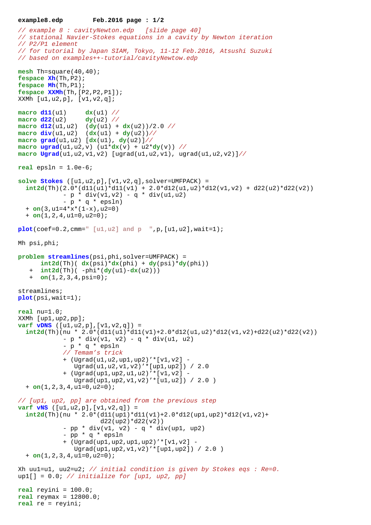```
example8.edp Feb.2016 page : 1/2
```

```
// example 8 : cavityNewton.edp [slide page 40]
// stational Navier-Stokes equations in a cavity by Newton iteration
// P2/P1 element
// for tutorial by Japan SIAM, Tokyo, 11-12 Feb.2016, Atsushi Suzuki
// based on examples++-tutorial/cavityNewtow.edp
mesh Th=square(40,40);
fespace Xh(Th,P2);
fespace Mh(Th,P1);
fespace XXMh(Th,[P2,P2,P1]);
XXMh [u1,u2,p], [v1,v2,q]; 
macro d11(u1) dx(u1) //
macro d22(u2) dy(u2) //
macro d12(u1,u2) (dy(u1) + dx(u2))/2.0 //
macro div(u1,u2) (dx(u1) + dy(u2))//
macro grad(u1,u2) [dx(u1), dy(u2)]//
\text{macro } \text{ugrad}(u1, u2, v) (u1 * dx(v) + u2 * dy(v)) //
macro Ugrad(u1,u2,v1,v2) [ugrad(u1,u2,v1), ugrad(u1,u2,v2)]//
real epsln = 1.0e-6;
solve Stokes ([u1,u2,p],[v1,v2,q],solver=UMFPACK) =
  int2d(Th)(2.0*(d11(ul)*d11(v1) + 2.0*(d12(ul,u2)*d12(v1,v2) + d22(ul)*d22(v2))- p * div(v1,v2) - q * div(u1,u2)- p * q * epsln + on(3,u1=4*x*(1-x),u2=0) 
   + on(1,2,4,u1=0,u2=0);
plot(coef=0.2,cmm=" [u1,u2] and p ",p,[u1,u2],wait=1);
Mh psi,phi;
problem streamlines(psi,phi,solver=UMFPACK) =
      int2d(Th) ( dx(psi)*dx(phi) + dy(psi)*dy(phi))
    + int2d(Th)( -phi*(dy(u1)-dx(u2)))
    + on(1,2,3,4,psi=0);
streamlines;
plot(psi,wait=1);
real nu=1.0;
XXMh [up1,up2,pp];
varf vDNS ([u1,u2,p],[v1,v2,q]) =
  int2d(Th)(nu \ * 2.0*(d11(ul)*d11(v1)+2.0*d12(ul,u2)*d12(v1,v2)+d22(u2)*d22(v2))- p * div(v1, v2) - q * div(u1, u2) - p * q * epsln
             // Temam's trick 
             + (Ugrad(u1,u2,up1,up2)'*[v1,v2] -
                Ugrad(u1,u2,v1,v2)'*[up1,up2]) / 2.0
             + (Ugrad(up1,up2,u1,u2)'*[v1,v2] -
                Ugrad(up1,up2,v1,v2)'*[u1,u2]) / 2.0 )
   + on(1,2,3,4,u1=0,u2=0);
// [up1, up2, pp] are obtained from the previous step
varf vNS ([u1,u2,p],[v1,v2,q]) =
  int2d(Th)(nu * 2.0*(d11(upl)*d11(v1)+2.0*d12(upl,up2)*d12(v1,v2)+d22(\text{up2}) * d22(\text{v2})- pp * div(v1, v2) - q * div(up1, up2)
             - pp * q * epsln
             + (Ugrad(up1,up2,up1,up2)'*[v1,v2] -
                Ugrad(up1,up2,v1,v2)'*[up1,up2]) / 2.0 )
   + on(1,2,3,4,u1=0,u2=0); 
Xh uul=u1, uu2=u2; // initial condition is given by Stokes eqs : Re=0.
up1[] = 0.0; // initialize for [up1, up2, pp]real reyini = 100.0;
real reymax = 12800.0; 
real re = reyini;
```